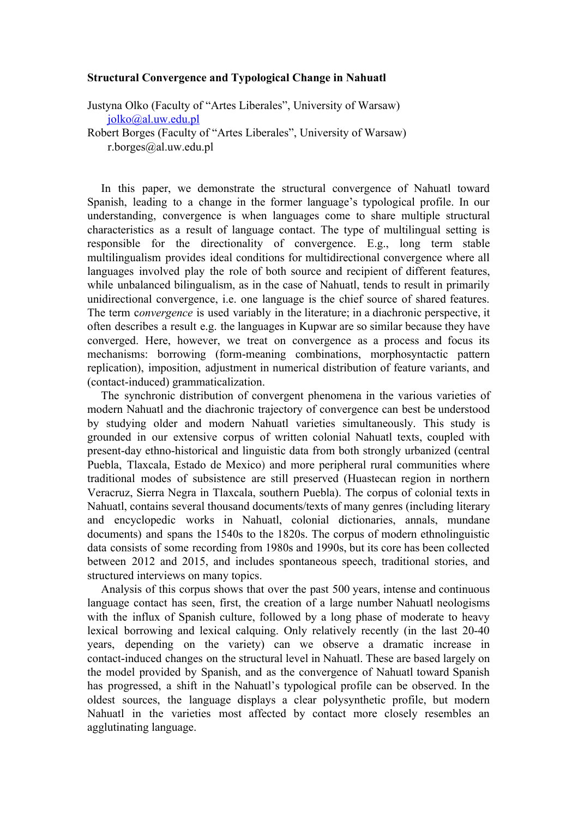## **Structural Convergence and Typological Change in Nahuatl**

Justyna Olko (Faculty of "Artes Liberales", University of Warsaw) [jolko@al.uw.edu.pl](mailto:jolko@al.uw.edu.pl)

Robert Borges (Faculty of "Artes Liberales", University of Warsaw) r.borges@al.uw.edu.pl

In this paper, we demonstrate the structural convergence of Nahuatl toward Spanish, leading to a change in the former language's typological profile. In our understanding, convergence is when languages come to share multiple structural characteristics as a result of language contact. The type of multilingual setting is responsible for the directionality of convergence. E.g., long term stable multilingualism provides ideal conditions for multidirectional convergence where all languages involved play the role of both source and recipient of different features, while unbalanced bilingualism, as in the case of Nahuatl, tends to result in primarily unidirectional convergence, i.e. one language is the chief source of shared features. The term c*onvergence* is used variably in the literature; in a diachronic perspective, it often describes a result e.g. the languages in Kupwar are so similar because they have converged. Here, however, we treat on convergence as a process and focus its mechanisms: borrowing (form-meaning combinations, morphosyntactic pattern replication), imposition, adjustment in numerical distribution of feature variants, and (contact-induced) grammaticalization.

The synchronic distribution of convergent phenomena in the various varieties of modern Nahuatl and the diachronic trajectory of convergence can best be understood by studying older and modern Nahuatl varieties simultaneously. This study is grounded in our extensive corpus of written colonial Nahuatl texts, coupled with present-day ethno-historical and linguistic data from both strongly urbanized (central Puebla, Tlaxcala, Estado de Mexico) and more peripheral rural communities where traditional modes of subsistence are still preserved (Huastecan region in northern Veracruz, Sierra Negra in Tlaxcala, southern Puebla). The corpus of colonial texts in Nahuatl, contains several thousand documents/texts of many genres (including literary and encyclopedic works in Nahuatl, colonial dictionaries, annals, mundane documents) and spans the 1540s to the 1820s. The corpus of modern ethnolinguistic data consists of some recording from 1980s and 1990s, but its core has been collected between 2012 and 2015, and includes spontaneous speech, traditional stories, and structured interviews on many topics.

Analysis of this corpus shows that over the past 500 years, intense and continuous language contact has seen, first, the creation of a large number Nahuatl neologisms with the influx of Spanish culture, followed by a long phase of moderate to heavy lexical borrowing and lexical calquing. Only relatively recently (in the last 20-40 years, depending on the variety) can we observe a dramatic increase in contact-induced changes on the structural level in Nahuatl. These are based largely on the model provided by Spanish, and as the convergence of Nahuatl toward Spanish has progressed, a shift in the Nahuatl's typological profile can be observed. In the oldest sources, the language displays a clear polysynthetic profile, but modern Nahuatl in the varieties most affected by contact more closely resembles an agglutinating language.